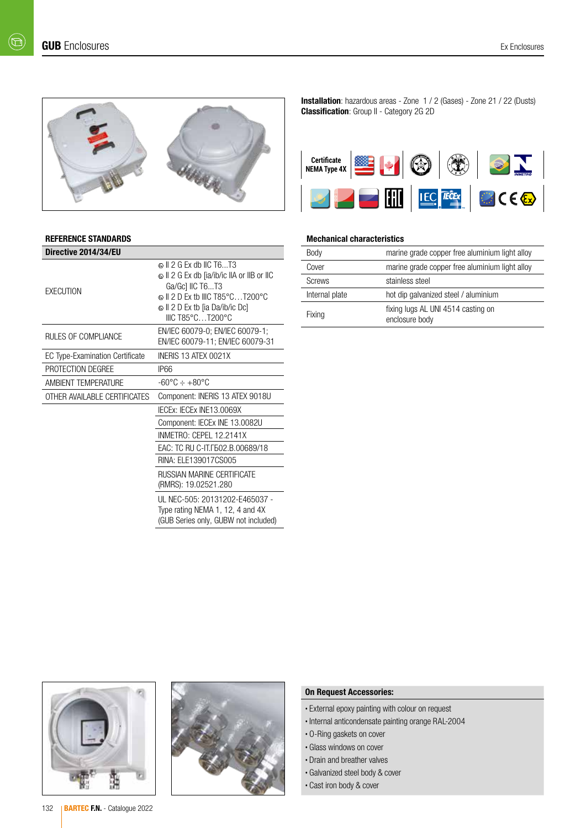$(\boxdot)$ 



#### REFERENCE STANDARDS

| Directive 2014/34/EU            |                                                                                                                                                      |
|---------------------------------|------------------------------------------------------------------------------------------------------------------------------------------------------|
| <b>EXECUTION</b>                | வ I 2 G Ex db IIC T6T3<br>© II 2 G Ex db [ia/ib/ic IIA or IIB or IIC<br>Ga/Gc] IIC T6T3<br>$\odot$ II 2 D Ex tb IIIC T85°CT200°C<br>IIIC T85°CT200°C |
| RULES OF COMPLIANCE             | EN/IEC 60079-0; EN/IEC 60079-1;<br>EN/IEC 60079-11; EN/IEC 60079-31                                                                                  |
| EC Type-Examination Certificate | INERIS 13 ATEX 0021X                                                                                                                                 |
| PROTECTION DEGREE               | IP66                                                                                                                                                 |
| <b>AMBIENT TEMPERATURE</b>      | $-60^{\circ}$ C $\div$ $+80^{\circ}$ C                                                                                                               |
| OTHER AVAILABLE CERTIFICATES    | Component: INERIS 13 ATEX 9018U                                                                                                                      |
|                                 | IECEX: IECEX INE13.0069X                                                                                                                             |
|                                 | Component: IECEx INE 13.0082U                                                                                                                        |
|                                 | INMETRO: CEPEL 12.2141X                                                                                                                              |
|                                 | EAC: TC RU C-IT. [502.B.00689/18                                                                                                                     |
|                                 | RINA: ELE139017CS005                                                                                                                                 |
|                                 | <b>RUSSIAN MARINE CERTIFICATE</b><br>(RMRS): 19.02521.280                                                                                            |
|                                 | UL NEC-505: 20131202-E465037 -<br>Type rating NEMA 1, 12, 4 and 4X<br>(GUB Series only, GUBW not included)                                           |

Installation: hazardous areas - Zone 1 / 2 (Gases) - Zone 21 / 22 (Dusts) Classification: Group II - Category 2G 2D



### Mechanical characteristics

| Body           | marine grade copper free aluminium light alloy       |
|----------------|------------------------------------------------------|
| Cover          | marine grade copper free aluminium light alloy       |
| <b>Screws</b>  | stainless steel                                      |
| Internal plate | hot dip galvanized steel / aluminium                 |
| Fixing         | fixing lugs AL UNI 4514 casting on<br>enclosure body |





#### On Request Accessories:

- External epoxy painting with colour on request
- Internal anticondensate painting orange RAL-2004
- O-Ring gaskets on cover
- Glass windows on cover
- Drain and breather valves
- Galvanized steel body & cover
- Cast iron body & cover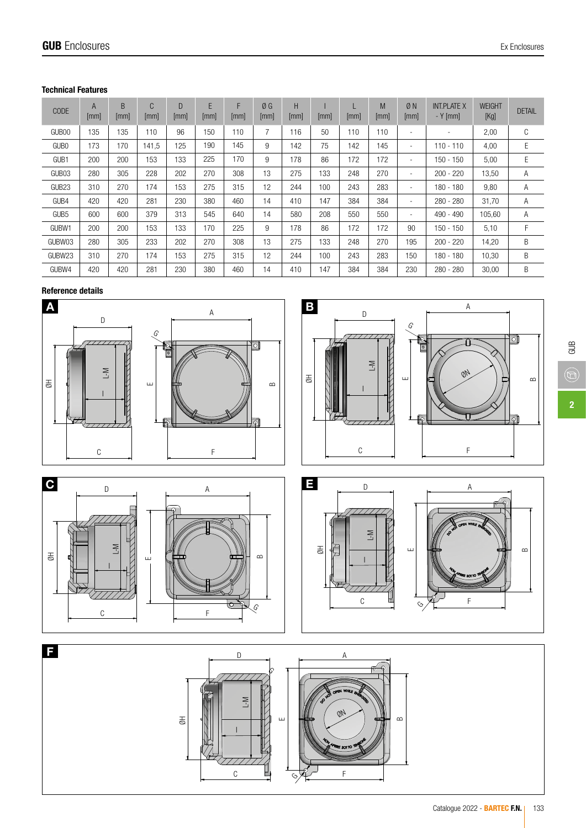# Technical Features

| <b>CODE</b>       | A<br>[mm] | B<br>[mm] | C<br>[mm] | D<br>$\mathsf{mm}$ | E<br>[mm] | F<br>[mm] | ØG<br>[mm] | H<br>[mm] | [mm] | L<br>[mm] | M<br>[mm] | ØN<br>[mm]               | <b>INT.PLATE X</b><br>$-Y$ [mm] | <b>WEIGHT</b><br>[Kg] | <b>DETAIL</b> |
|-------------------|-----------|-----------|-----------|--------------------|-----------|-----------|------------|-----------|------|-----------|-----------|--------------------------|---------------------------------|-----------------------|---------------|
| GUB <sub>00</sub> | 135       | 135       | 110       | 96                 | 150       | 110       | 7          | 116       | 50   | 110       | 110       | ٠                        | ٠                               | 2,00                  | C             |
| GUB <sub>0</sub>  | 173       | 170       | 141,5     | 125                | 190       | 145       | 9          | 142       | 75   | 142       | 145       | $\overline{\phantom{a}}$ | $110 - 110$                     | 4,00                  | Е             |
| GUB <sub>1</sub>  | 200       | 200       | 153       | 133                | 225       | 170       | 9          | 178       | 86   | 172       | 172       | ٠                        | $150 - 150$                     | 5,00                  | E             |
| GUB03             | 280       | 305       | 228       | 202                | 270       | 308       | 13         | 275       | 133  | 248       | 270       |                          | $200 - 220$                     | 13,50                 | Α             |
| GUB <sub>23</sub> | 310       | 270       | 174       | 153                | 275       | 315       | 12         | 244       | 100  | 243       | 283       | ۰                        | $180 - 180$                     | 9,80                  | Α             |
| GUB4              | 420       | 420       | 281       | 230                | 380       | 460       | 14         | 410       | 147  | 384       | 384       | ۰                        | $280 - 280$                     | 31.70                 | Α             |
| GUB <sub>5</sub>  | 600       | 600       | 379       | 313                | 545       | 640       | 14         | 580       | 208  | 550       | 550       | ۰                        | $490 - 490$                     | 105,60                | Α             |
| GUBW1             | 200       | 200       | 153       | 133                | 170       | 225       | 9          | 178       | 86   | 172       | 172       | 90                       | 150 - 150                       | 5,10                  | F             |
| GUBW03            | 280       | 305       | 233       | 202                | 270       | 308       | 13         | 275       | 133  | 248       | 270       | 195                      | $200 - 220$                     | 14,20                 | B             |
| GUBW23            | 310       | 270       | 174       | 153                | 275       | 315       | 12         | 244       | 100  | 243       | 283       | 150                      | 180 - 180                       | 10.30                 | B             |
| GUBW4             | 420       | 420       | 281       | 230                | 380       | 460       | 14         | 410       | 147  | 384       | 384       | 230                      | $280 - 280$                     | 30,00                 | B             |

# Reference details





 $\mathbb{G} \mathbb{B}$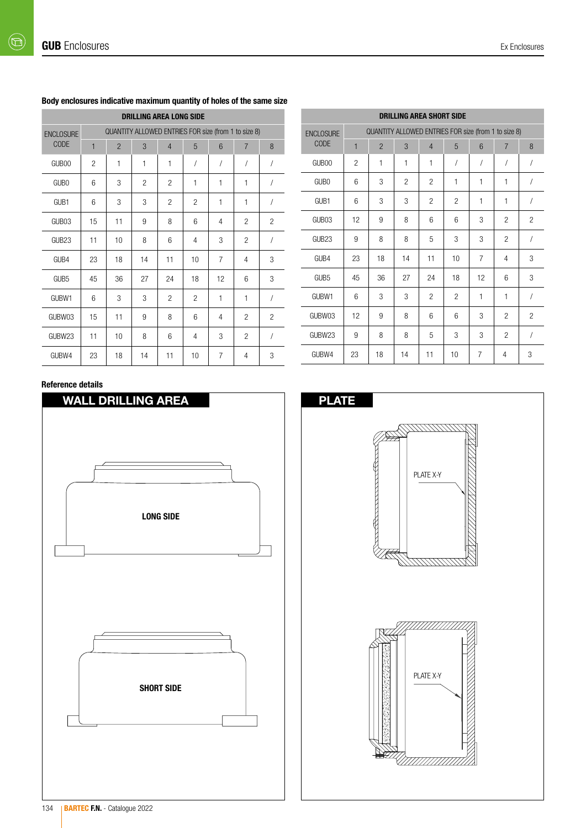| <b>DRILLING AREA LONG SIDE</b> |                                                      |                |                |                |          |                |                |                |  |  |  |  |
|--------------------------------|------------------------------------------------------|----------------|----------------|----------------|----------|----------------|----------------|----------------|--|--|--|--|
| <b>ENCLOSURE</b>               | QUANTITY ALLOWED ENTRIES FOR size (from 1 to size 8) |                |                |                |          |                |                |                |  |  |  |  |
| <b>CODE</b>                    | $\mathbf{1}$                                         | $\overline{2}$ | 3              | $\overline{4}$ | 5        | 6              | $\overline{7}$ | 8              |  |  |  |  |
| GUB00                          | $\overline{2}$                                       | 1              | 1              | 1              | $\prime$ | $\sqrt{2}$     | $\sqrt{2}$     | $\overline{1}$ |  |  |  |  |
| GUB <sub>0</sub>               | 6                                                    | 3              | $\overline{c}$ | 2              | 1        | 1              | 1              | $\sqrt{2}$     |  |  |  |  |
| GUB1                           | 6                                                    | 3              | 3              | $\overline{c}$ | 2        | 1              | 1              | /              |  |  |  |  |
| GUB03                          | 15                                                   | 11             | 9              | 8              | 6        | $\overline{4}$ | $\overline{c}$ | $\overline{c}$ |  |  |  |  |
| GUB <sub>23</sub>              | 11                                                   | 10             | 8              | 6              | 4        | 3              | $\overline{c}$ | $\sqrt{2}$     |  |  |  |  |
| GUB4                           | 23                                                   | 18             | 14             | 11             | 10       | $\overline{7}$ | 4              | 3              |  |  |  |  |
| GUB <sub>5</sub>               | 45                                                   | 36             | 27             | 24             | 18       | 12             | 6              | 3              |  |  |  |  |
| GUBW1                          | 6                                                    | 3              | 3              | 2              | 2        | 1              | $\mathbf{1}$   | $\overline{1}$ |  |  |  |  |
| GUBW03                         | 15                                                   | 11             | 9              | 8              | 6        | 4              | $\overline{c}$ | $\overline{2}$ |  |  |  |  |
| GUBW23                         | 11                                                   | 10             | 8              | 6              | 4        | 3              | $\overline{2}$ | $\sqrt{2}$     |  |  |  |  |
| GUBW4                          | 23                                                   | 18             | 14             | 11             | 10       | 7              | 4              | 3              |  |  |  |  |

## Body enclosures indicative maximum quantity of holes of the same size

# Reference details



|                   | <b>DRILLING AREA SHORT SIDE</b>                      |                |                |                |                |                |                |                |  |  |
|-------------------|------------------------------------------------------|----------------|----------------|----------------|----------------|----------------|----------------|----------------|--|--|
| <b>ENCLOSURE</b>  | QUANTITY ALLOWED ENTRIES FOR size (from 1 to size 8) |                |                |                |                |                |                |                |  |  |
| <b>CODE</b>       | $\mathbf{1}$                                         | $\overline{2}$ | 3              | $\overline{4}$ | 5              | 6              | $\overline{7}$ | 8              |  |  |
| GUB <sub>00</sub> | $\overline{2}$                                       | 1              | 1              | $\mathbf{1}$   | $\prime$       | $\sqrt{2}$     | $\sqrt{2}$     | $\sqrt{2}$     |  |  |
| GUB <sub>0</sub>  | 6                                                    | 3              | $\overline{c}$ | $\overline{2}$ | $\mathbf{1}$   | 1              | 1              | 1              |  |  |
| GUB <sub>1</sub>  | 6                                                    | 3              | 3              | $\overline{2}$ | $\overline{c}$ | 1              | 1              | 1              |  |  |
| GUB03             | 12                                                   | 9              | 8              | 6              | 6              | 3              | $\overline{2}$ | $\overline{2}$ |  |  |
| GLIB23            | 9                                                    | 8              | 8              | 5              | 3              | 3              | $\overline{2}$ | $\sqrt{2}$     |  |  |
| GUB4              | 23                                                   | 18             | 14             | 11             | 10             | $\overline{7}$ | 4              | 3              |  |  |
| GUB <sub>5</sub>  | 45                                                   | 36             | 27             | 24             | 18             | 12             | 6              | 3              |  |  |
| GUBW1             | 6                                                    | 3              | 3              | $\overline{2}$ | $\overline{2}$ | $\mathbf{1}$   | 1              | $\sqrt{2}$     |  |  |
| GUBW03            | 12                                                   | 9              | 8              | 6              | 6              | 3              | $\overline{2}$ | $\overline{c}$ |  |  |
| GUBW23            | 9                                                    | 8              | 8              | 5              | 3              | 3              | $\overline{c}$ | $\sqrt{2}$     |  |  |
| GUBW4             | 23                                                   | 18             | 14             | 11             | 10             | 7              | 4              | 3              |  |  |